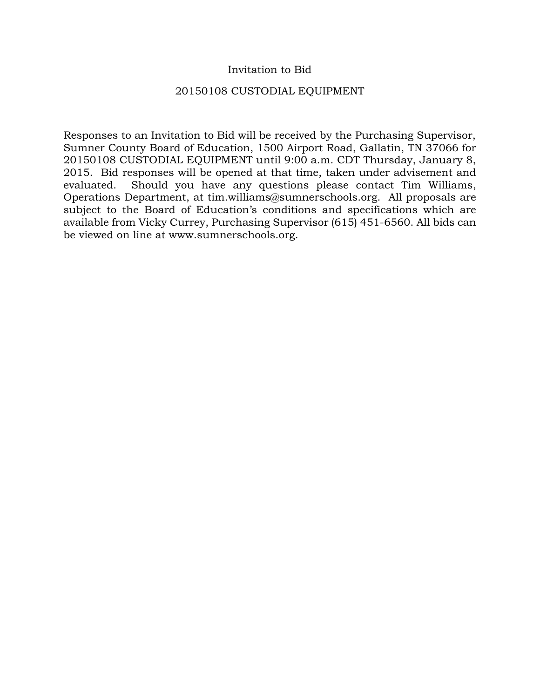#### Invitation to Bid

#### 20150108 CUSTODIAL EQUIPMENT

Responses to an Invitation to Bid will be received by the Purchasing Supervisor, Sumner County Board of Education, 1500 Airport Road, Gallatin, TN 37066 for 20150108 CUSTODIAL EQUIPMENT until 9:00 a.m. CDT Thursday, January 8, 2015. Bid responses will be opened at that time, taken under advisement and evaluated. Should you have any questions please contact Tim Williams, Operations Department, at tim.williams@sumnerschools.org. All proposals are subject to the Board of Education's conditions and specifications which are available from Vicky Currey, Purchasing Supervisor (615) 451-6560. All bids can be viewed on line at www.sumnerschools.org.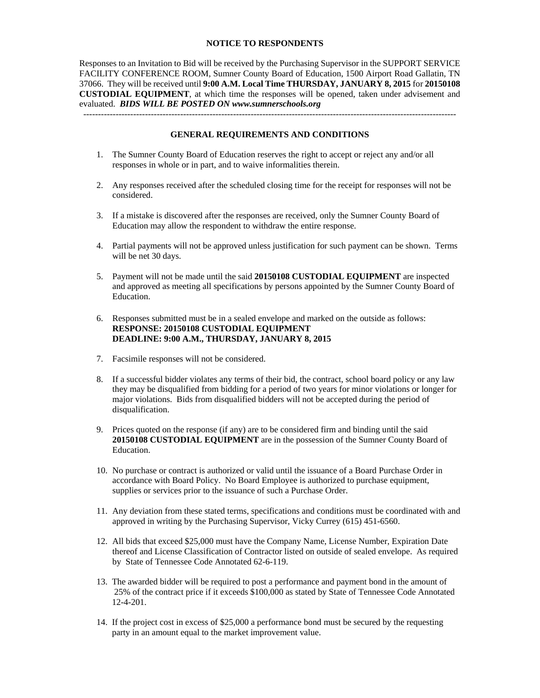#### **NOTICE TO RESPONDENTS**

Responses to an Invitation to Bid will be received by the Purchasing Supervisor in the SUPPORT SERVICE FACILITY CONFERENCE ROOM, Sumner County Board of Education, 1500 Airport Road Gallatin, TN 37066. They will be received until **9:00 A.M. Local Time THURSDAY, JANUARY 8, 2015** for **20150108 CUSTODIAL EQUIPMENT**, at which time the responses will be opened, taken under advisement and evaluated. *BIDS WILL BE POSTED ON www.sumnerschools.org* 

#### **GENERAL REQUIREMENTS AND CONDITIONS**

-------------------------------------------------------------------------------------------------------------------------------

- 1. The Sumner County Board of Education reserves the right to accept or reject any and/or all responses in whole or in part, and to waive informalities therein.
- 2. Any responses received after the scheduled closing time for the receipt for responses will not be considered.
- 3. If a mistake is discovered after the responses are received, only the Sumner County Board of Education may allow the respondent to withdraw the entire response.
- 4. Partial payments will not be approved unless justification for such payment can be shown. Terms will be net 30 days.
- 5. Payment will not be made until the said **20150108 CUSTODIAL EQUIPMENT** are inspected and approved as meeting all specifications by persons appointed by the Sumner County Board of Education.
- 6. Responses submitted must be in a sealed envelope and marked on the outside as follows: **RESPONSE: 20150108 CUSTODIAL EQUIPMENT DEADLINE: 9:00 A.M., THURSDAY, JANUARY 8, 2015**
- 7. Facsimile responses will not be considered.
- 8. If a successful bidder violates any terms of their bid, the contract, school board policy or any law they may be disqualified from bidding for a period of two years for minor violations or longer for major violations. Bids from disqualified bidders will not be accepted during the period of disqualification.
- 9. Prices quoted on the response (if any) are to be considered firm and binding until the said **20150108 CUSTODIAL EQUIPMENT** are in the possession of the Sumner County Board of Education.
- 10. No purchase or contract is authorized or valid until the issuance of a Board Purchase Order in accordance with Board Policy. No Board Employee is authorized to purchase equipment, supplies or services prior to the issuance of such a Purchase Order.
- 11. Any deviation from these stated terms, specifications and conditions must be coordinated with and approved in writing by the Purchasing Supervisor, Vicky Currey (615) 451-6560.
- 12. All bids that exceed \$25,000 must have the Company Name, License Number, Expiration Date thereof and License Classification of Contractor listed on outside of sealed envelope. As required by State of Tennessee Code Annotated 62-6-119.
- 13. The awarded bidder will be required to post a performance and payment bond in the amount of 25% of the contract price if it exceeds \$100,000 as stated by State of Tennessee Code Annotated 12-4-201.
- 14. If the project cost in excess of \$25,000 a performance bond must be secured by the requesting party in an amount equal to the market improvement value.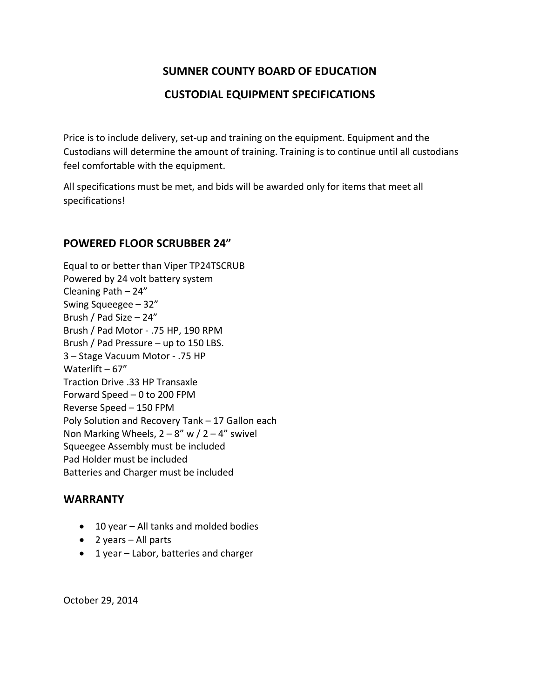### **CUSTODIAL EQUIPMENT SPECIFICATIONS**

Price is to include delivery, set-up and training on the equipment. Equipment and the Custodians will determine the amount of training. Training is to continue until all custodians feel comfortable with the equipment.

All specifications must be met, and bids will be awarded only for items that meet all specifications!

### **POWERED FLOOR SCRUBBER 24"**

Equal to or better than Viper TP24TSCRUB Powered by 24 volt battery system Cleaning Path – 24" Swing Squeegee – 32" Brush / Pad Size – 24" Brush / Pad Motor ‐ .75 HP, 190 RPM Brush / Pad Pressure – up to 150 LBS. 3 – Stage Vacuum Motor ‐ .75 HP Waterlift – 67" Traction Drive .33 HP Transaxle Forward Speed – 0 to 200 FPM Reverse Speed – 150 FPM Poly Solution and Recovery Tank – 17 Gallon each Non Marking Wheels,  $2 - 8''$  w  $/ 2 - 4''$  swivel Squeegee Assembly must be included Pad Holder must be included Batteries and Charger must be included

### **WARRANTY**

- 10 year All tanks and molded bodies
- 2 years All parts
- 1 year Labor, batteries and charger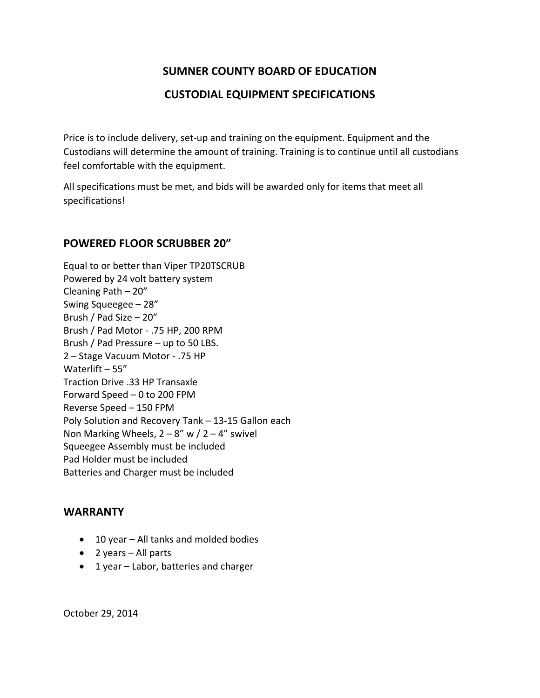### **CUSTODIAL EQUIPMENT SPECIFICATIONS**

Price is to include delivery, set-up and training on the equipment. Equipment and the Custodians will determine the amount of training. Training is to continue until all custodians feel comfortable with the equipment.

All specifications must be met, and bids will be awarded only for items that meet all specifications!

#### **POWERED FLOOR SCRUBBER 20"**

Equal to or better than Viper TP20TSCRUB Powered by 24 volt battery system Cleaning Path – 20" Swing Squeegee – 28" Brush / Pad Size – 20" Brush / Pad Motor ‐ .75 HP, 200 RPM Brush / Pad Pressure – up to 50 LBS. 2 – Stage Vacuum Motor ‐ .75 HP Waterlift – 55" Traction Drive .33 HP Transaxle Forward Speed – 0 to 200 FPM Reverse Speed – 150 FPM Poly Solution and Recovery Tank – 13‐15 Gallon each Non Marking Wheels,  $2 - 8''$  w  $/ 2 - 4''$  swivel Squeegee Assembly must be included Pad Holder must be included Batteries and Charger must be included

### **WARRANTY**

- 10 year All tanks and molded bodies
- 2 years All parts
- 1 year Labor, batteries and charger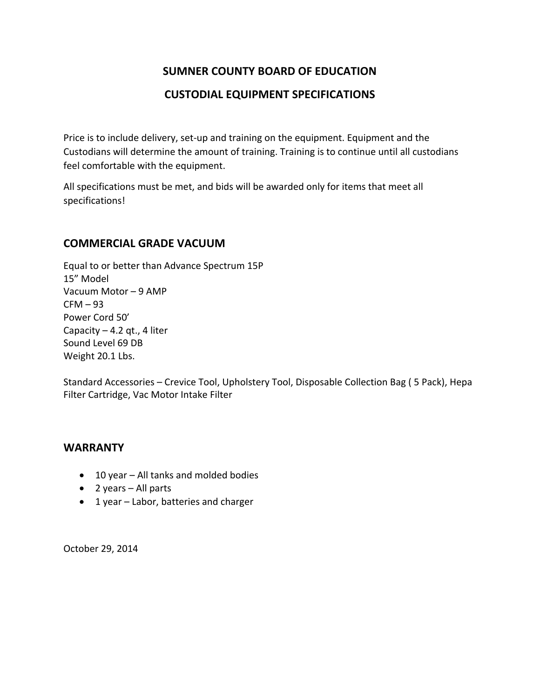### **CUSTODIAL EQUIPMENT SPECIFICATIONS**

Price is to include delivery, set-up and training on the equipment. Equipment and the Custodians will determine the amount of training. Training is to continue until all custodians feel comfortable with the equipment.

All specifications must be met, and bids will be awarded only for items that meet all specifications!

### **COMMERCIAL GRADE VACUUM**

Equal to or better than Advance Spectrum 15P 15" Model Vacuum Motor – 9 AMP  $CFM - 93$ Power Cord 50' Capacity  $-4.2$  qt., 4 liter Sound Level 69 DB Weight 20.1 Lbs.

Standard Accessories – Crevice Tool, Upholstery Tool, Disposable Collection Bag ( 5 Pack), Hepa Filter Cartridge, Vac Motor Intake Filter

### **WARRANTY**

- 10 year All tanks and molded bodies
- 2 years All parts
- 1 year Labor, batteries and charger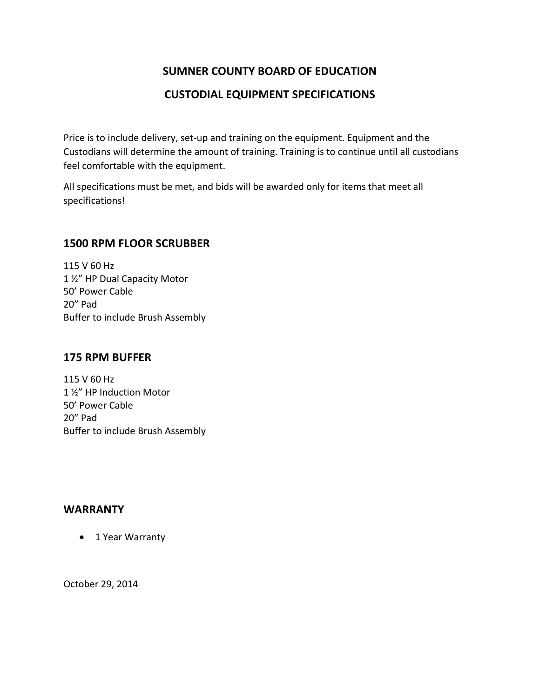### **CUSTODIAL EQUIPMENT SPECIFICATIONS**

Price is to include delivery, set-up and training on the equipment. Equipment and the Custodians will determine the amount of training. Training is to continue until all custodians feel comfortable with the equipment.

All specifications must be met, and bids will be awarded only for items that meet all specifications!

### **1500 RPM FLOOR SCRUBBER**

115 V 60 Hz 1 ½" HP Dual Capacity Motor 50' Power Cable 20" Pad Buffer to include Brush Assembly

#### **175 RPM BUFFER**

115 V 60 Hz 1 ½" HP Induction Motor 50' Power Cable 20" Pad Buffer to include Brush Assembly

### **WARRANTY**

• 1 Year Warranty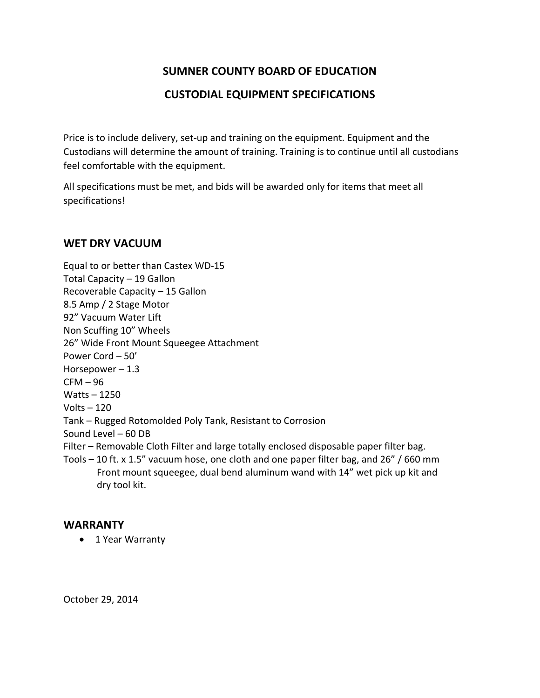### **CUSTODIAL EQUIPMENT SPECIFICATIONS**

Price is to include delivery, set-up and training on the equipment. Equipment and the Custodians will determine the amount of training. Training is to continue until all custodians feel comfortable with the equipment.

All specifications must be met, and bids will be awarded only for items that meet all specifications!

### **WET DRY VACUUM**

Equal to or better than Castex WD‐15 Total Capacity – 19 Gallon Recoverable Capacity – 15 Gallon 8.5 Amp / 2 Stage Motor 92" Vacuum Water Lift Non Scuffing 10" Wheels 26" Wide Front Mount Squeegee Attachment Power Cord – 50' Horsepower  $-1.3$  $CFM - 96$ Watts – 1250 Volts  $-120$ Tank – Rugged Rotomolded Poly Tank, Resistant to Corrosion Sound Level – 60 DB Filter – Removable Cloth Filter and large totally enclosed disposable paper filter bag. Tools – 10 ft. x 1.5" vacuum hose, one cloth and one paper filter bag, and 26" / 660 mm Front mount squeegee, dual bend aluminum wand with 14" wet pick up kit and dry tool kit.

### **WARRANTY**

• 1 Year Warranty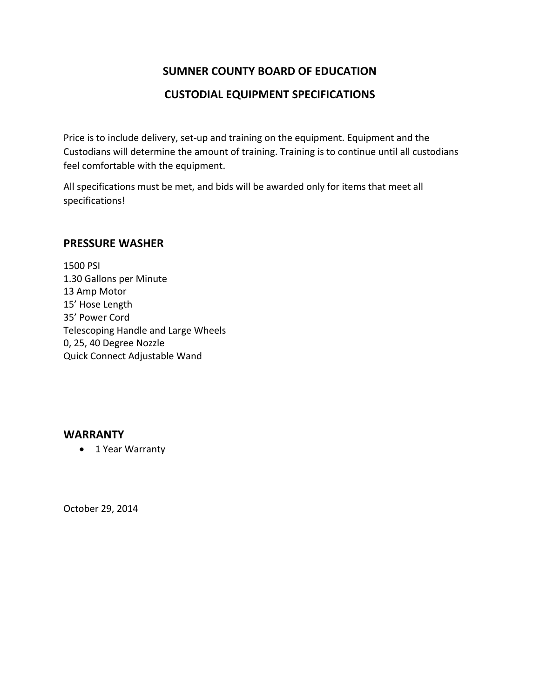### **CUSTODIAL EQUIPMENT SPECIFICATIONS**

Price is to include delivery, set-up and training on the equipment. Equipment and the Custodians will determine the amount of training. Training is to continue until all custodians feel comfortable with the equipment.

All specifications must be met, and bids will be awarded only for items that meet all specifications!

#### **PRESSURE WASHER**

1500 PSI 1.30 Gallons per Minute 13 Amp Motor 15' Hose Length 35' Power Cord Telescoping Handle and Large Wheels 0, 25, 40 Degree Nozzle Quick Connect Adjustable Wand

### **WARRANTY**

• 1 Year Warranty